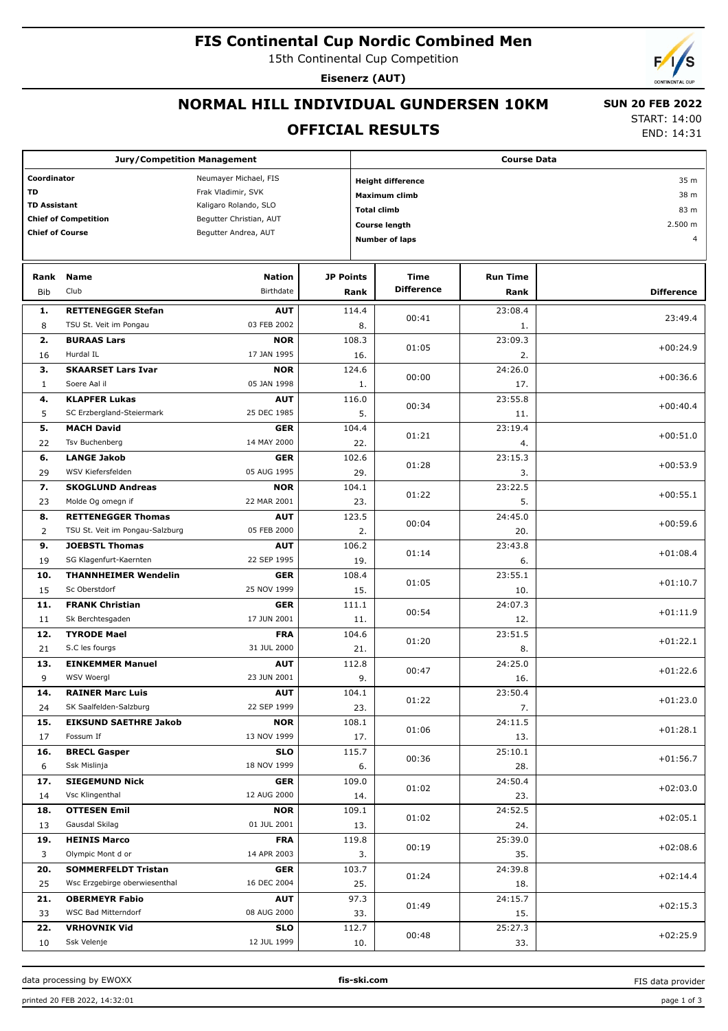# **FIS Continental Cup Nordic Combined Men**

15th Continental Cup Competition

**Eisenerz (AUT)**

## **NORMAL HILL INDIVIDUAL GUNDERSEN 10KM**

#### **OFFICIAL RESULTS**

 **SUN 20 FEB 2022** START: 14:00

END: 14:31

| <b>Jury/Competition Management</b>   |                                                              |                            |                    | <b>Course Data</b>               |                           |                         |                   |  |  |
|--------------------------------------|--------------------------------------------------------------|----------------------------|--------------------|----------------------------------|---------------------------|-------------------------|-------------------|--|--|
| Coordinator<br>Neumayer Michael, FIS |                                                              |                            |                    | 35 m<br><b>Height difference</b> |                           |                         |                   |  |  |
| <b>TD</b>                            |                                                              | Frak Vladimir, SVK         |                    |                                  | Maximum climb             |                         | 38 m              |  |  |
| <b>TD Assistant</b>                  |                                                              | Kaligaro Rolando, SLO      |                    |                                  |                           |                         | 83 m              |  |  |
|                                      | <b>Chief of Competition</b>                                  | Begutter Christian, AUT    | <b>Total climb</b> |                                  |                           |                         | 2.500 m           |  |  |
| <b>Chief of Course</b>               |                                                              | Begutter Andrea, AUT       |                    |                                  | <b>Course length</b>      |                         |                   |  |  |
|                                      |                                                              |                            |                    |                                  | <b>Number of laps</b>     |                         | $\overline{4}$    |  |  |
|                                      |                                                              |                            |                    |                                  |                           |                         |                   |  |  |
| Rank<br>Bib                          | <b>Name</b><br>Club                                          | <b>Nation</b><br>Birthdate | <b>JP Points</b>   | Rank                             | Time<br><b>Difference</b> | <b>Run Time</b><br>Rank | <b>Difference</b> |  |  |
|                                      |                                                              |                            |                    |                                  |                           |                         |                   |  |  |
| 1.<br>8                              | <b>RETTENEGGER Stefan</b><br>TSU St. Veit im Pongau          | <b>AUT</b><br>03 FEB 2002  | 114.4              |                                  | 00:41                     | 23:08.4                 | 23:49.4           |  |  |
| 2.                                   | <b>BURAAS Lars</b>                                           | <b>NOR</b>                 |                    | 8.<br>108.3                      |                           | 1.<br>23:09.3           |                   |  |  |
| 16                                   | Hurdal IL                                                    | 17 JAN 1995                |                    | 16.                              | 01:05                     | 2.                      | $+00:24.9$        |  |  |
| з.                                   | <b>SKAARSET Lars Ivar</b>                                    | <b>NOR</b>                 |                    | 124.6                            |                           | 24:26.0                 |                   |  |  |
| $\mathbf{1}$                         | Soere Aal il                                                 | 05 JAN 1998                |                    | 1.                               | 00:00                     | 17.                     | $+00:36.6$        |  |  |
| 4.                                   | <b>KLAPFER Lukas</b>                                         | <b>AUT</b>                 |                    | 116.0                            |                           | 23:55.8                 |                   |  |  |
| 5                                    | SC Erzbergland-Steiermark                                    | 25 DEC 1985                |                    | 5.                               | 00:34                     | 11.                     | $+00:40.4$        |  |  |
| 5.                                   | <b>MACH David</b>                                            | GER                        |                    | 104.4                            | 01:21                     | 23:19.4                 | $+00:51.0$        |  |  |
| 22                                   | Tsv Buchenberg                                               | 14 MAY 2000                |                    | 22.                              |                           | 4.                      |                   |  |  |
| 6.                                   | <b>LANGE Jakob</b>                                           | <b>GER</b>                 |                    | 102.6                            | 01:28                     | 23:15.3                 | $+00:53.9$        |  |  |
| 29                                   | WSV Kiefersfelden                                            | 05 AUG 1995                |                    | 29.                              |                           | 3.                      |                   |  |  |
| 7.                                   | <b>SKOGLUND Andreas</b>                                      | <b>NOR</b>                 |                    | 104.1                            | 01:22                     | 23:22.5                 | $+00:55.1$        |  |  |
| 23                                   | Molde Og omegn if                                            | 22 MAR 2001                |                    | 23.                              |                           | 5.                      |                   |  |  |
| 8.<br>2                              | <b>RETTENEGGER Thomas</b><br>TSU St. Veit im Pongau-Salzburg | <b>AUT</b><br>05 FEB 2000  |                    | 123.5<br>2.                      | 00:04                     | 24:45.0<br>20.          | $+00:59.6$        |  |  |
| 9.                                   | <b>JOEBSTL Thomas</b>                                        | <b>AUT</b>                 |                    | 106.2                            |                           | 23:43.8                 |                   |  |  |
| 19                                   | SG Klagenfurt-Kaernten                                       | 22 SEP 1995                |                    | 19.                              | 01:14                     | 6.                      | $+01:08.4$        |  |  |
| 10.                                  | <b>THANNHEIMER Wendelin</b>                                  | GER                        |                    | 108.4                            |                           | 23:55.1                 |                   |  |  |
| 15                                   | Sc Oberstdorf                                                | 25 NOV 1999                |                    | 15.                              | 01:05                     | 10.                     | $+01:10.7$        |  |  |
| 11.                                  | <b>FRANK Christian</b>                                       | GER                        |                    | 111.1                            |                           | 24:07.3                 |                   |  |  |
| 11                                   | Sk Berchtesgaden                                             | 17 JUN 2001                |                    | 11.                              | 00:54                     | 12.                     | $+01:11.9$        |  |  |
| 12.                                  | <b>TYRODE Mael</b>                                           | <b>FRA</b>                 |                    | 104.6                            | 01:20                     | 23:51.5                 | $+01:22.1$        |  |  |
| 21                                   | S.C les fourgs                                               | 31 JUL 2000                |                    | 21.                              |                           | 8.                      |                   |  |  |
| 13.                                  | <b>EINKEMMER Manuel</b>                                      | <b>AUT</b>                 |                    | 112.8<br>00:47                   |                           | 24:25.0                 | $+01:22.6$        |  |  |
| 9                                    | WSV Woergl                                                   | 23 JUN 2001                |                    | 9.                               |                           | 16.                     |                   |  |  |
| 14.                                  | <b>RAINER Marc Luis</b>                                      | <b>AUT</b>                 |                    | 104.1                            | 01:22                     | 23:50.4                 | $+01:23.0$        |  |  |
| 24                                   | SK Saalfelden-Salzburg                                       | 22 SEP 1999                |                    | 23.                              |                           | 7.                      |                   |  |  |
| 15.<br>17                            | <b>EIKSUND SAETHRE Jakob</b><br>Fossum If                    | <b>NOR</b><br>13 NOV 1999  |                    | 108.1<br>17.                     | 01:06                     | 24:11.5<br>13.          | $+01:28.1$        |  |  |
| 16.                                  | <b>BRECL Gasper</b>                                          | <b>SLO</b>                 |                    | 115.7                            |                           | 25:10.1                 |                   |  |  |
| 6                                    | Ssk Mislinja                                                 | 18 NOV 1999                |                    | 6.                               | 00:36                     | 28.                     | $+01:56.7$        |  |  |
| 17.                                  | <b>SIEGEMUND Nick</b>                                        | <b>GER</b>                 |                    | 109.0                            |                           | 24:50.4                 |                   |  |  |
| 14                                   | Vsc Klingenthal                                              | 12 AUG 2000                |                    | 14.                              | 01:02                     | 23.                     | $+02:03.0$        |  |  |
| 18.                                  | <b>OTTESEN Emil</b>                                          | <b>NOR</b>                 |                    | 109.1                            |                           | 24:52.5                 |                   |  |  |
| 13                                   | Gausdal Skilag                                               | 01 JUL 2001                |                    | 01:02<br>13.                     |                           | 24.                     | $+02:05.1$        |  |  |
| 19.                                  | <b>HEINIS Marco</b>                                          | <b>FRA</b>                 |                    | 119.8                            |                           | 25:39.0                 | $+02:08.6$        |  |  |
| 3                                    | Olympic Mont d or                                            | 14 APR 2003                |                    | 3.                               | 00:19                     | 35.                     |                   |  |  |
| 20.                                  | <b>SOMMERFELDT Tristan</b>                                   | GER                        |                    | 103.7                            | 01:24                     | 24:39.8                 | $+02:14.4$        |  |  |
| 25                                   | Wsc Erzgebirge oberwiesenthal                                | 16 DEC 2004                |                    | 25.                              |                           | 18.                     |                   |  |  |
| 21.                                  | <b>OBERMEYR Fabio</b>                                        | <b>AUT</b>                 |                    | 97.3                             | 01:49                     | 24:15.7                 | $+02:15.3$        |  |  |
| 33                                   | WSC Bad Mitterndorf                                          | 08 AUG 2000                |                    | 33.                              |                           | 15.                     |                   |  |  |
| 22.                                  | <b>VRHOVNIK Vid</b>                                          | <b>SLO</b>                 |                    | 112.7                            | 00:48                     | 25:27.3                 | $+02:25.9$        |  |  |
| 10                                   | Ssk Velenje                                                  | 12 JUL 1999                |                    | 10.                              |                           | 33.                     |                   |  |  |

data processing by EWOXX **fis-ski.com**

FIS data provider

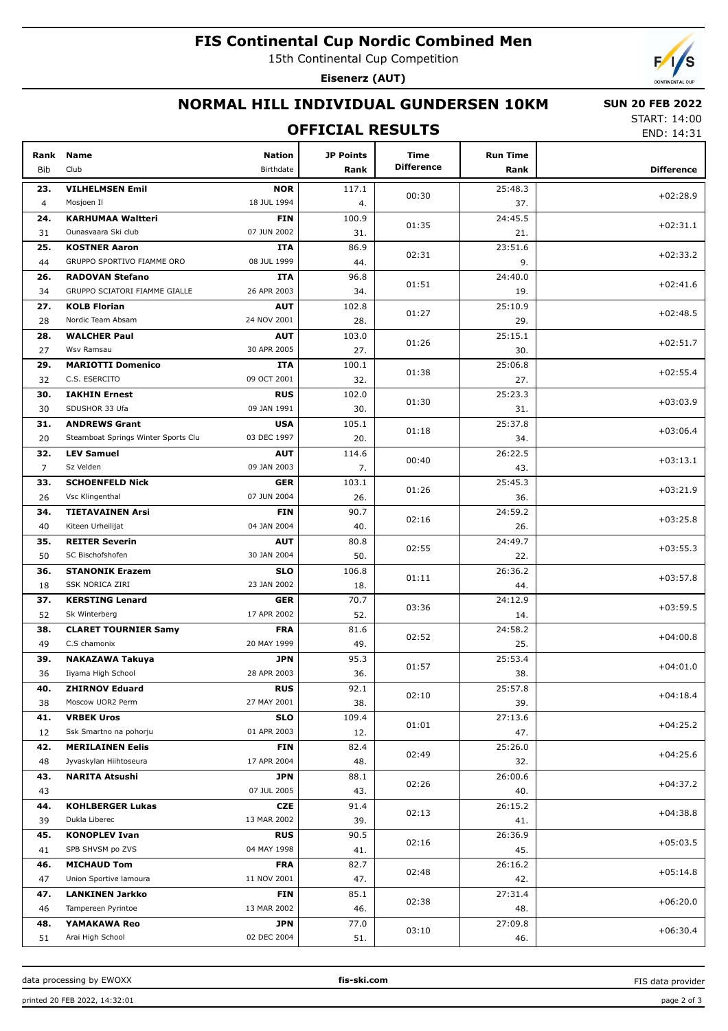# **FIS Continental Cup Nordic Combined Men**

15th Continental Cup Competition

**Eisenerz (AUT)**



## **NORMAL HILL INDIVIDUAL GUNDERSEN 10KM**

## **OFFICIAL RESULTS**

 **SUN 20 FEB 2022** START: 14:00

END: 14:31

| Rank<br>Bib    | <b>Name</b><br>Club                       | <b>Nation</b><br>Birthdate | JP Points<br>Rank | Time<br><b>Difference</b> | <b>Run Time</b><br>Rank | <b>Difference</b> |
|----------------|-------------------------------------------|----------------------------|-------------------|---------------------------|-------------------------|-------------------|
| 23.            | <b>VILHELMSEN Emil</b>                    | <b>NOR</b>                 | 117.1             |                           | 25:48.3                 |                   |
| $\overline{4}$ | Mosjoen Il                                | 18 JUL 1994                | 4.                | 00:30                     | 37.                     | $+02:28.9$        |
| 24.            | <b>KARHUMAA Waltteri</b>                  | <b>FIN</b>                 | 100.9             |                           | 24:45.5                 |                   |
| 31             | Ounasvaara Ski club                       | 07 JUN 2002                | 31.               | 01:35                     | 21.                     | $+02:31.1$        |
| 25.            | <b>KOSTNER Aaron</b>                      | ITA                        | 86.9              |                           | 23:51.6                 |                   |
| 44             | GRUPPO SPORTIVO FIAMME ORO                | 08 JUL 1999                | 44.               | 02:31                     | 9.                      | $+02:33.2$        |
| 26.            | <b>RADOVAN Stefano</b>                    | ITA                        | 96.8              |                           | 24:40.0                 |                   |
| 34             | GRUPPO SCIATORI FIAMME GIALLE             | 26 APR 2003                | 34.               | 01:51                     | 19.                     | $+02:41.6$        |
| 27.            | <b>KOLB Florian</b>                       | <b>AUT</b>                 | 102.8             |                           | 25:10.9                 |                   |
| 28             | Nordic Team Absam                         | 24 NOV 2001                | 28.               | 01:27                     | 29.                     | $+02:48.5$        |
| 28.            | <b>WALCHER Paul</b>                       | <b>AUT</b>                 | 103.0             |                           | 25:15.1                 |                   |
| 27             | Wsv Ramsau                                | 30 APR 2005                | 27.               | 01:26                     | 30.                     | $+02:51.7$        |
| 29.            | <b>MARIOTTI Domenico</b>                  | <b>ITA</b>                 | 100.1             |                           | 25:06.8                 |                   |
| 32             | C.S. ESERCITO                             | 09 OCT 2001                | 32.               | 01:38                     | 27.                     | $+02:55.4$        |
| 30.            | <b>IAKHIN Ernest</b>                      | <b>RUS</b>                 | 102.0             |                           | 25:23.3                 |                   |
| 30             | SDUSHOR 33 Ufa                            | 09 JAN 1991                | 30.               | 01:30                     | 31.                     | $+03:03.9$        |
| 31.            | <b>ANDREWS Grant</b>                      | <b>USA</b>                 | 105.1             |                           | 25:37.8                 | $+03:06.4$        |
| 20             | Steamboat Springs Winter Sports Clu       | 03 DEC 1997                | 20.               | 01:18                     | 34.                     |                   |
| 32.            | <b>LEV Samuel</b>                         | <b>AUT</b>                 | 114.6             | 00:40                     | 26:22.5                 | $+03:13.1$        |
| $\overline{7}$ | Sz Velden                                 | 09 JAN 2003                | 7.                |                           | 43.                     |                   |
| 33.            | <b>SCHOENFELD Nick</b>                    | <b>GER</b>                 | 103.1             | 01:26                     | 25:45.3                 | $+03:21.9$        |
| 26             | Vsc Klingenthal                           | 07 JUN 2004                | 26.               |                           | 36.                     |                   |
| 34.            | <b>TIETAVAINEN Arsi</b>                   | <b>FIN</b>                 | 90.7              | 02:16                     | 24:59.2                 | $+03:25.8$        |
| 40             | Kiteen Urheilijat                         | 04 JAN 2004                | 40.               |                           | 26.                     |                   |
| 35.            | <b>REITER Severin</b>                     | <b>AUT</b>                 | 80.8              | 02:55                     | 24:49.7                 | $+03:55.3$        |
| 50             | SC Bischofshofen                          | 30 JAN 2004                | 50.               |                           | 22.                     |                   |
| 36.            | <b>STANONIK Erazem</b>                    | <b>SLO</b>                 | 106.8             | 01:11                     | 26:36.2                 | $+03:57.8$        |
| 18             | <b>SSK NORICA ZIRI</b>                    | 23 JAN 2002                | 18.               |                           | 44.                     |                   |
| 37.            | <b>KERSTING Lenard</b>                    | <b>GER</b>                 | 70.7              | 03:36                     | 24:12.9                 | $+03:59.5$        |
| 52             | Sk Winterberg                             | 17 APR 2002                | 52.               |                           | 14.                     |                   |
| 38.            | <b>CLARET TOURNIER Samy</b>               | <b>FRA</b>                 | 81.6              | 02:52                     | 24:58.2                 | $+04:00.8$        |
| 49             | C.S chamonix                              | 20 MAY 1999                | 49.               |                           | 25.                     |                   |
| 39.            | <b>NAKAZAWA Takuya</b>                    | <b>JPN</b>                 | 95.3              | 01:57                     | 25:53.4                 | $+04:01.0$        |
| 36             | Iiyama High School                        | 28 APR 2003                | 36.               |                           | 38.<br>25:57.8          |                   |
| 40.<br>38      | <b>ZHIRNOV Eduard</b><br>Moscow UOR2 Perm | RUS<br>27 MAY 2001         | 92.1<br>38.       | 02:10                     | 39.                     | $+04:18.4$        |
| 41.            | <b>VRBEK Uros</b>                         | <b>SLO</b>                 | 109.4             |                           | 27:13.6                 |                   |
| 12             | Ssk Smartno na pohorju                    | 01 APR 2003                | 12.               | 01:01                     | 47.                     | $+04:25.2$        |
| 42.            | <b>MERILAINEN Eelis</b>                   | <b>FIN</b>                 | 82.4              |                           | 25:26.0                 |                   |
| 48             | Jyvaskylan Hiihtoseura                    | 17 APR 2004                | 48.               | 02:49                     | 32.                     | $+04:25.6$        |
| 43.            | <b>NARITA Atsushi</b>                     | <b>JPN</b>                 | 88.1              |                           | 26:00.6                 |                   |
| 43             |                                           | 07 JUL 2005                | 43.               | 02:26                     | 40.                     | $+04:37.2$        |
| 44.            | <b>KOHLBERGER Lukas</b>                   | <b>CZE</b>                 | 91.4              |                           | 26:15.2                 |                   |
| 39             | Dukla Liberec                             | 13 MAR 2002                | 39.               | 02:13                     | 41.                     | $+04:38.8$        |
| 45.            | <b>KONOPLEV Ivan</b>                      | <b>RUS</b>                 | 90.5              |                           | 26:36.9                 |                   |
| 41             | SPB SHVSM po ZVS                          | 04 MAY 1998                | 41.               | 02:16                     | 45.                     | $+05:03.5$        |
| 46.            | <b>MICHAUD Tom</b>                        | <b>FRA</b>                 | 82.7              |                           | 26:16.2                 |                   |
| 47             | Union Sportive lamoura                    | 11 NOV 2001                | 47.               | 02:48                     | 42.                     | $+05:14.8$        |
| 47.            | <b>LANKINEN Jarkko</b>                    | <b>FIN</b>                 | 85.1              |                           | 27:31.4                 |                   |
| 46             | Tampereen Pyrintoe                        | 13 MAR 2002                | 46.               | 02:38                     | 48.                     | $+06:20.0$        |
| 48.            | YAMAKAWA Reo                              | <b>JPN</b>                 | 77.0              |                           | 27:09.8                 |                   |
| 51             | Arai High School                          | 02 DEC 2004                | 51.               | 03:10                     | 46.                     | $+06:30.4$        |

data processing by EWOXX **fis-ski.com**

FIS data provider